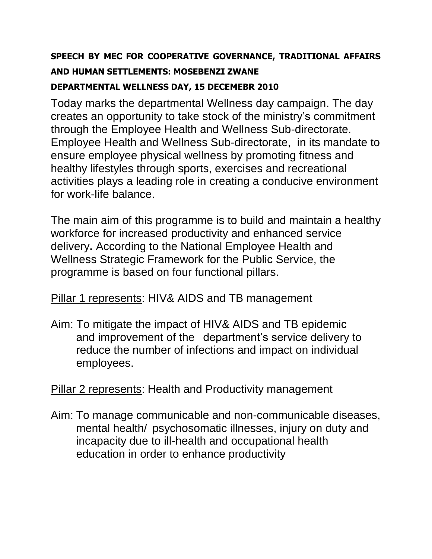## **SPEECH BY MEC FOR COOPERATIVE GOVERNANCE, TRADITIONAL AFFAIRS AND HUMAN SETTLEMENTS: MOSEBENZI ZWANE DEPARTMENTAL WELLNESS DAY, 15 DECEMEBR 2010**

Today marks the departmental Wellness day campaign. The day creates an opportunity to take stock of the ministry's commitment through the Employee Health and Wellness Sub-directorate. Employee Health and Wellness Sub-directorate, in its mandate to ensure employee physical wellness by promoting fitness and healthy lifestyles through sports, exercises and recreational activities plays a leading role in creating a conducive environment for work-life balance.

The main aim of this programme is to build and maintain a healthy workforce for increased productivity and enhanced service delivery**.** According to the National Employee Health and Wellness Strategic Framework for the Public Service, the programme is based on four functional pillars.

Pillar 1 represents: HIV& AIDS and TB management

Aim: To mitigate the impact of HIV& AIDS and TB epidemic and improvement of the department's service delivery to reduce the number of infections and impact on individual employees.

Pillar 2 represents: Health and Productivity management

Aim: To manage communicable and non-communicable diseases, mental health/ psychosomatic illnesses, injury on duty and incapacity due to ill-health and occupational health education in order to enhance productivity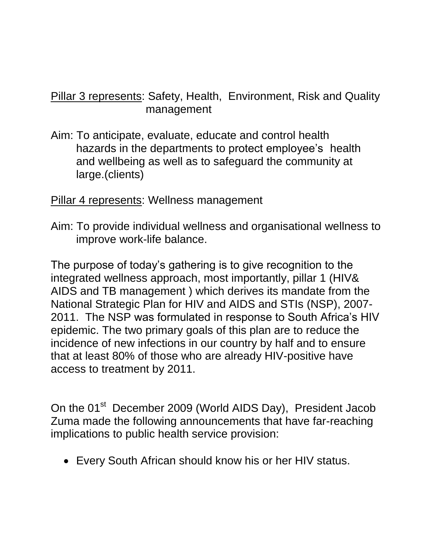## Pillar 3 represents: Safety, Health, Environment, Risk and Quality management

Aim: To anticipate, evaluate, educate and control health hazards in the departments to protect employee's health and wellbeing as well as to safeguard the community at large.(clients)

## Pillar 4 represents: Wellness management

Aim: To provide individual wellness and organisational wellness to improve work-life balance.

The purpose of today's gathering is to give recognition to the integrated wellness approach, most importantly, pillar 1 (HIV& AIDS and TB management ) which derives its mandate from the National Strategic Plan for HIV and AIDS and STIs (NSP), 2007- 2011. The NSP was formulated in response to South Africa's HIV epidemic. The two primary goals of this plan are to reduce the incidence of new infections in our country by half and to ensure that at least 80% of those who are already HIV-positive have access to treatment by 2011.

On the 01<sup>st</sup> December 2009 (World AIDS Day), President Jacob Zuma made the following announcements that have far-reaching implications to public health service provision:

Every South African should know his or her HIV status.